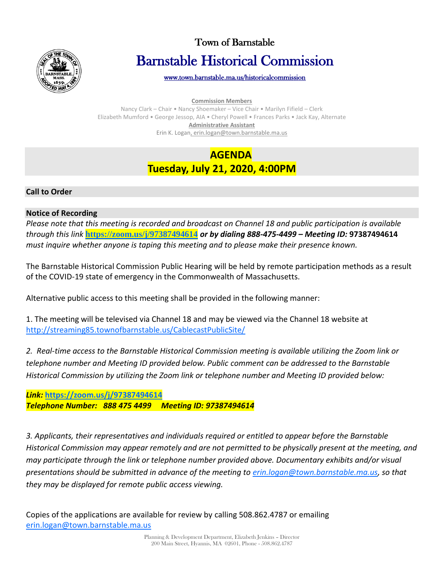

# Town of Barnstable Barnstable Historical Commission

[www.town.barnstable.ma.us/historicalcommission](http://www.town.barnstable.ma.us/historicalcommission) 

**Commission Members**

Nancy Clark – Chair • Nancy Shoemaker – Vice Chair • Marilyn Fifield – Clerk Elizabeth Mumford • George Jessop, AIA • Cheryl Powell • Frances Parks • Jack Kay, Alternate **Administrative Assistant** Erin K. Logan, erin.logan@town.barnstable.ma.us

# **AGENDA Tuesday, July 21, 2020, 4:00PM**

## **Call to Order**

## **Notice of Recording**

*Please note that this meeting is recorded and broadcast on Channel 18 and public participation is available through this link* **<https://zoom.us/j/97387494614>** *or by dialing 888-475-4499 – Meeting ID:* **97387494614** *must inquire whether anyone is taping this meeting and to please make their presence known.*

The Barnstable Historical Commission Public Hearing will be held by remote participation methods as a result of the COVID-19 state of emergency in the Commonwealth of Massachusetts.

Alternative public access to this meeting shall be provided in the following manner:

1. The meeting will be televised via Channel 18 and may be viewed via the Channel 18 website at <http://streaming85.townofbarnstable.us/CablecastPublicSite/>

*2. Real-time access to the Barnstable Historical Commission meeting is available utilizing the Zoom link or telephone number and Meeting ID provided below. Public comment can be addressed to the Barnstable Historical Commission by utilizing the Zoom link or telephone number and Meeting ID provided below:* 

*Link:* **<https://zoom.us/j/97387494614>** *Telephone Number: 888 475 4499 Meeting ID: 97387494614*

*3. Applicants, their representatives and individuals required or entitled to appear before the Barnstable Historical Commission may appear remotely and are not permitted to be physically present at the meeting, and may participate through the link or telephone number provided above. Documentary exhibits and/or visual presentations should be submitted in advance of the meeting to [erin.logan@town.barnstable.ma.us,](mailto:erin.logan@town.barnstable.ma.us) so that they may be displayed for remote public access viewing.*

Copies of the applications are available for review by calling 508.862.4787 or emailing [erin.logan@town.barnstable.ma.us](mailto:erin.logan@town.barnstable.ma.us)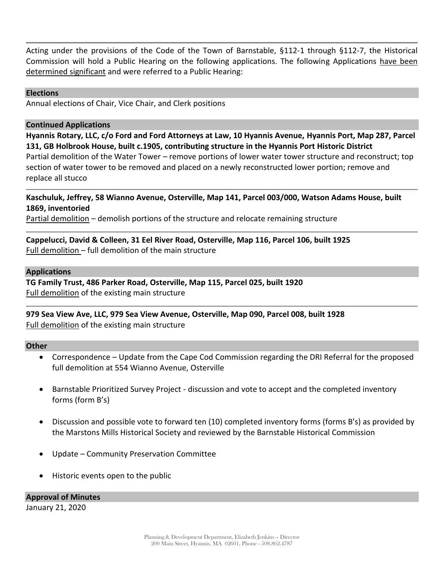Acting under the provisions of the Code of the Town of Barnstable, §112-1 through §112-7, the Historical Commission will hold a Public Hearing on the following applications. The following Applications have been determined significant and were referred to a Public Hearing:

#### **Elections**

Annual elections of Chair, Vice Chair, and Clerk positions

#### **Continued Applications**

**Hyannis Rotary, LLC, c/o Ford and Ford Attorneys at Law, 10 Hyannis Avenue, Hyannis Port, Map 287, Parcel 131, GB Holbrook House, built c.1905, contributing structure in the Hyannis Port Historic District** Partial demolition of the Water Tower – remove portions of lower water tower structure and reconstruct; top section of water tower to be removed and placed on a newly reconstructed lower portion; remove and replace all stucco

#### **Kaschuluk, Jeffrey, 58 Wianno Avenue, Osterville, Map 141, Parcel 003/000, Watson Adams House, built 1869, inventoried**

Partial demolition – demolish portions of the structure and relocate remaining structure

#### **Cappelucci, David & Colleen, 31 Eel River Road, Osterville, Map 116, Parcel 106, built 1925** Full demolition – full demolition of the main structure

#### **Applications**

**TG Family Trust, 486 Parker Road, Osterville, Map 115, Parcel 025, built 1920** Full demolition of the existing main structure

#### **979 Sea View Ave, LLC, 979 Sea View Avenue, Osterville, Map 090, Parcel 008, built 1928** Full demolition of the existing main structure

#### **Other**

- Correspondence Update from the Cape Cod Commission regarding the DRI Referral for the proposed full demolition at 554 Wianno Avenue, Osterville
- Barnstable Prioritized Survey Project discussion and vote to accept and the completed inventory forms (form B's)
- Discussion and possible vote to forward ten (10) completed inventory forms (forms B's) as provided by the Marstons Mills Historical Society and reviewed by the Barnstable Historical Commission
- Update Community Preservation Committee
- Historic events open to the public

**Approval of Minutes** January 21, 2020